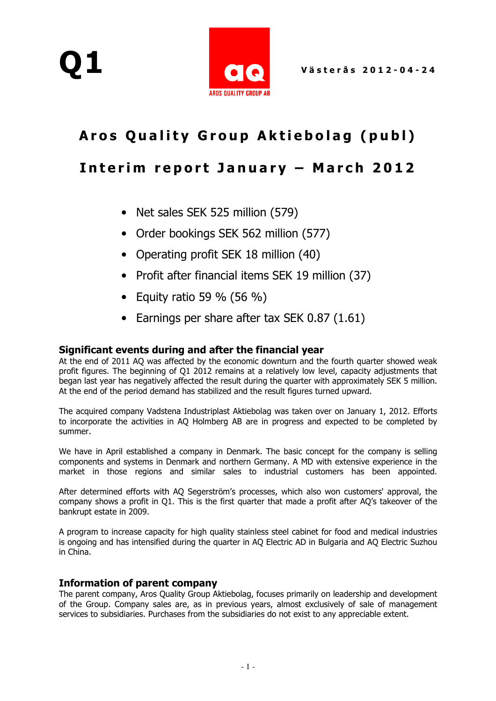

## Aros Quality Group Aktiebolag (publ)

## Interim report January - March 2012

- Net sales SEK 525 million (579)
- Order bookings SEK 562 million (577)
- Operating profit SEK 18 million (40)
- Profit after financial items SEK 19 million (37)
- Equity ratio 59  $%$  (56  $%$ )
- Earnings per share after tax SEK 0.87 (1.61)

#### Significant events during and after the financial year

At the end of 2011 AQ was affected by the economic downturn and the fourth quarter showed weak profit figures. The beginning of Q1 2012 remains at a relatively low level, capacity adjustments that began last year has negatively affected the result during the quarter with approximately SEK 5 million. At the end of the period demand has stabilized and the result figures turned upward.

The acquired company Vadstena Industriplast Aktiebolag was taken over on January 1, 2012. Efforts to incorporate the activities in AQ Holmberg AB are in progress and expected to be completed by summer.

We have in April established a company in Denmark. The basic concept for the company is selling components and systems in Denmark and northern Germany. A MD with extensive experience in the market in those regions and similar sales to industrial customers has been appointed.

After determined efforts with AQ Segerström's processes, which also won customers' approval, the company shows a profit in Q1. This is the first quarter that made a profit after AQ's takeover of the bankrupt estate in 2009.

A program to increase capacity for high quality stainless steel cabinet for food and medical industries is ongoing and has intensified during the quarter in AQ Electric AD in Bulgaria and AQ Electric Suzhou in China.

#### Information of parent company

The parent company, Aros Quality Group Aktiebolag, focuses primarily on leadership and development of the Group. Company sales are, as in previous years, almost exclusively of sale of management services to subsidiaries. Purchases from the subsidiaries do not exist to any appreciable extent.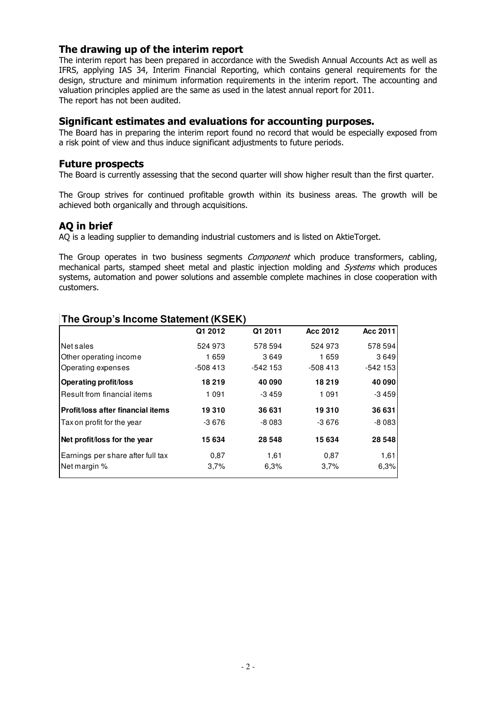#### The drawing up of the interim report

The interim report has been prepared in accordance with the Swedish Annual Accounts Act as well as IFRS, applying IAS 34, Interim Financial Reporting, which contains general requirements for the design, structure and minimum information requirements in the interim report. The accounting and valuation principles applied are the same as used in the latest annual report for 2011. The report has not been audited.

#### Significant estimates and evaluations for accounting purposes.

The Board has in preparing the interim report found no record that would be especially exposed from a risk point of view and thus induce significant adjustments to future periods.

#### Future prospects

The Board is currently assessing that the second quarter will show higher result than the first quarter.

The Group strives for continued profitable growth within its business areas. The growth will be achieved both organically and through acquisitions.

#### AQ in brief

AQ is a leading supplier to demanding industrial customers and is listed on AktieTorget.

The Group operates in two business segments *Component* which produce transformers, cabling, mechanical parts, stamped sheet metal and plastic injection molding and Systems which produces systems, automation and power solutions and assemble complete machines in close cooperation with customers.

|                                   | Q1 2012   | Q1 2011   | Acc 2012  | Acc 2011  |
|-----------------------------------|-----------|-----------|-----------|-----------|
| Net sales                         | 524 973   | 578 594   | 524 973   | 578 594   |
| Other operating income            | 1659      | 3649      | 1659      | 3649      |
| Operating expenses                | $-508413$ | $-542153$ | $-508413$ | $-542153$ |
| <b>Operating profit/loss</b>      | 18 219    | 40 090    | 18 219    | 40 090    |
| Result from financial items       | 1091      | $-3459$   | 1 0 9 1   | -3 459    |
| Profit/loss after financial items | 19310     | 36 631    | 19 310    | 36 631    |
| Tax on profit for the year        | $-3676$   | -8083     | -3 676    | $-8083$   |
| Net profit/loss for the year      | 15 634    | 28 5 48   | 15 634    | 28 548    |
| Earnings per share after full tax | 0.87      | 1,61      | 0,87      | 1,61      |
| Net margin %                      | 3,7%      | 6,3%      | 3,7%      | 6,3%      |

#### **The Group's Income Statement (KSEK)**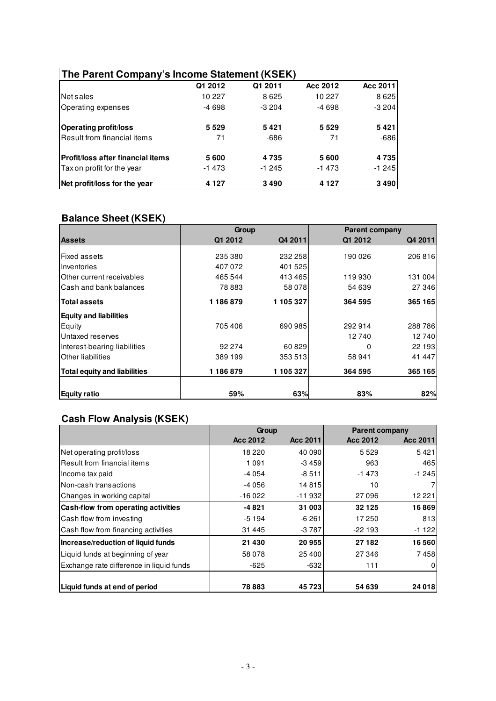### **The Parent Company's Income Statement (KSEK)**

|                                   | Q1 2012 | Q1 2011 | Acc 2012 | Acc 2011 |
|-----------------------------------|---------|---------|----------|----------|
| Net sales                         | 10 227  | 8625    | 10 227   | 8625     |
| Operating expenses                | $-4698$ | $-3204$ | $-4698$  | $-3204$  |
| <b>Operating profit/loss</b>      | 5529    | 5421    | 5529     | 5421     |
| Result from financial items       | 71      | -686    | 71       | $-686$   |
| Profit/loss after financial items | 5600    | 4735    | 5600     | 4735     |
| Tax on profit for the year        | $-1473$ | $-1245$ | -1473    | $-1245$  |
| Net profit/loss for the year      | 4 1 2 7 | 3490    | 4 1 2 7  | 3490     |

### **Balance Sheet (KSEK)**

|                                     | Group              |                    | <b>Parent company</b> |         |
|-------------------------------------|--------------------|--------------------|-----------------------|---------|
| <b>Assets</b>                       | Q1 2012            | Q4 2011            | Q1 2012               | Q4 2011 |
| <b>Fixed assets</b><br>Inventories  | 235 380<br>407 072 | 232 258<br>401 525 | 190 026               | 206 816 |
| Other current receivables           | 465 544            | 413465             | 119 930               | 131 004 |
| Cash and bank balances              | 78 883             | 58 078             | 54 639                | 27 346  |
| <b>Total assets</b>                 | 1186879            | 1 105 327          | 364 595               | 365 165 |
| <b>Equity and liabilities</b>       |                    |                    |                       |         |
| Equity                              | 705 406            | 690 985            | 292 914               | 288786  |
| Untaxed reserves                    |                    |                    | 12740                 | 12740   |
| Interest-bearing liabilities        | 92 274             | 60 829             | 0                     | 22 193  |
| Other liabilities                   | 389 199            | 353 513            | 58 941                | 41 447  |
| <b>Total equity and liabilities</b> | 1 186 879          | 1 105 327          | 364 595               | 365 165 |
| <b>Equity ratio</b>                 | 59%                | 63%                | 83%                   | 82%     |

## **Cash Flow Analysis (KSEK)**

|                                          | Group    |          | <b>Parent company</b> |          |
|------------------------------------------|----------|----------|-----------------------|----------|
|                                          | Acc 2012 | Acc 2011 | Acc 2012              | Acc 2011 |
| Net operating profit/loss                | 18 2 20  | 40 090   | 5 5 2 9               | 5421     |
| Result from financial items              | 1 0 9 1  | $-3459$  | 963                   | 465      |
| Income tax paid                          | -4 054   | $-8511$  | $-1473$               | $-1245$  |
| Non-cash transactions                    | -4 056   | 14815    | 10                    |          |
| Changes in working capital               | $-16022$ | $-11932$ | 27 096                | 12 221   |
| Cash-flow from operating activities      | $-4821$  | 31 003   | 32 1 25               | 16869    |
| Cash flow from investing                 | $-5194$  | $-6261$  | 17 250                | 813      |
| Cash flow from financing activities      | 31 445   | $-3787$  | $-22193$              | $-1122$  |
| Increase/reduction of liquid funds       | 21 430   | 20 955   | 27 182                | 16560    |
| Liquid funds at beginning of year        | 58 078   | 25400    | 27 346                | 7458     |
| Exchange rate difference in liquid funds | $-625$   | $-632$   | 111                   | 0        |
|                                          |          |          |                       |          |
| Liquid funds at end of period            | 78 883   | 45723    | 54 639                | 24 018   |